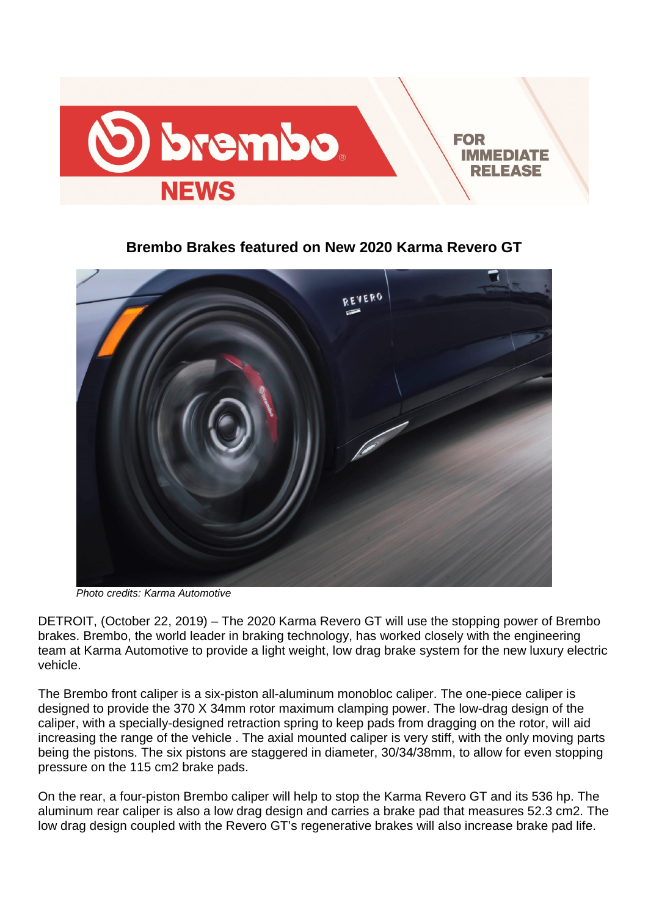

**Brembo Brakes featured on New 2020 Karma Revero GT** 



*Photo credits: Karma Automotive* 

DETROIT, (October 22, 2019) – The 2020 Karma Revero GT will use the stopping power of Brembo brakes. Brembo, the world leader in braking technology, has worked closely with the engineering team at Karma Automotive to provide a light weight, low drag brake system for the new luxury electric vehicle.

The Brembo front caliper is a six-piston all-aluminum monobloc caliper. The one-piece caliper is designed to provide the 370 X 34mm rotor maximum clamping power. The low-drag design of the caliper, with a specially-designed retraction spring to keep pads from dragging on the rotor, will aid increasing the range of the vehicle . The axial mounted caliper is very stiff, with the only moving parts being the pistons. The six pistons are staggered in diameter, 30/34/38mm, to allow for even stopping pressure on the 115 cm2 brake pads.

On the rear, a four-piston Brembo caliper will help to stop the Karma Revero GT and its 536 hp. The aluminum rear caliper is also a low drag design and carries a brake pad that measures 52.3 cm2. The low drag design coupled with the Revero GT's regenerative brakes will also increase brake pad life.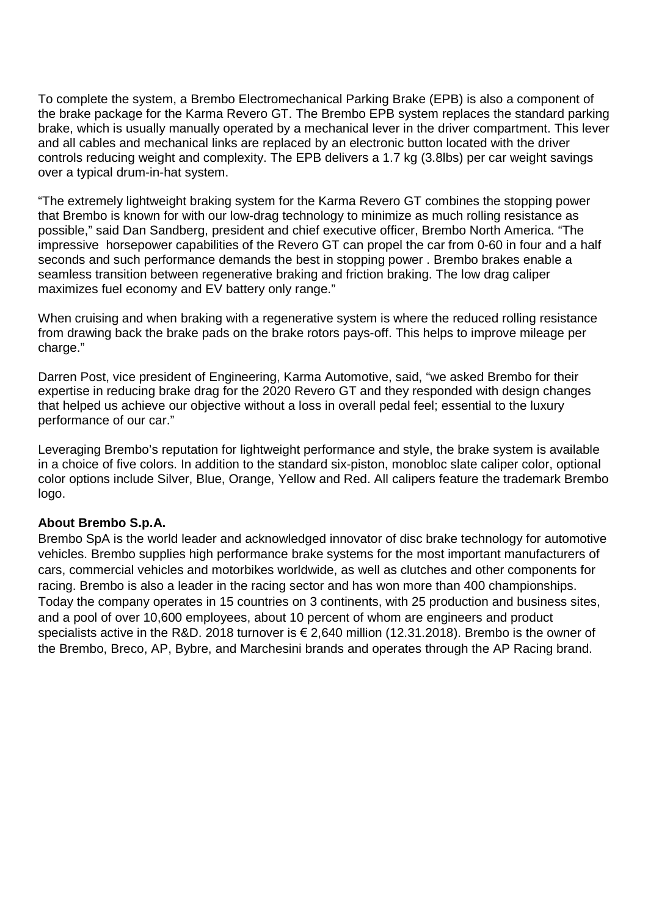To complete the system, a Brembo Electromechanical Parking Brake (EPB) is also a component of the brake package for the Karma Revero GT. The Brembo EPB system replaces the standard parking brake, which is usually manually operated by a mechanical lever in the driver compartment. This lever and all cables and mechanical links are replaced by an electronic button located with the driver controls reducing weight and complexity. The EPB delivers a 1.7 kg (3.8lbs) per car weight savings over a typical drum-in-hat system.

"The extremely lightweight braking system for the Karma Revero GT combines the stopping power that Brembo is known for with our low-drag technology to minimize as much rolling resistance as possible," said Dan Sandberg, president and chief executive officer, Brembo North America. "The impressive horsepower capabilities of the Revero GT can propel the car from 0-60 in four and a half seconds and such performance demands the best in stopping power . Brembo brakes enable a seamless transition between regenerative braking and friction braking. The low drag caliper maximizes fuel economy and EV battery only range."

When cruising and when braking with a regenerative system is where the reduced rolling resistance from drawing back the brake pads on the brake rotors pays-off. This helps to improve mileage per charge."

Darren Post, vice president of Engineering, Karma Automotive, said, "we asked Brembo for their expertise in reducing brake drag for the 2020 Revero GT and they responded with design changes that helped us achieve our objective without a loss in overall pedal feel; essential to the luxury performance of our car."

Leveraging Brembo's reputation for lightweight performance and style, the brake system is available in a choice of five colors. In addition to the standard six-piston, monobloc slate caliper color, optional color options include Silver, Blue, Orange, Yellow and Red. All calipers feature the trademark Brembo logo.

## **About Brembo S.p.A.**

Brembo SpA is the world leader and acknowledged innovator of disc brake technology for automotive vehicles. Brembo supplies high performance brake systems for the most important manufacturers of cars, commercial vehicles and motorbikes worldwide, as well as clutches and other components for racing. Brembo is also a leader in the racing sector and has won more than 400 championships. Today the company operates in 15 countries on 3 continents, with 25 production and business sites, and a pool of over 10,600 employees, about 10 percent of whom are engineers and product specialists active in the R&D. 2018 turnover is € 2,640 million (12.31.2018). Brembo is the owner of the Brembo, Breco, AP, Bybre, and Marchesini brands and operates through the AP Racing brand.